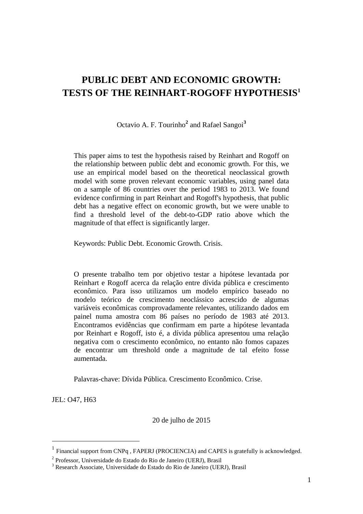# **PUBLIC DEBT AND ECONOMIC GROWTH: TESTS OF THE REINHART-ROGOFF HYPOTHESIS<sup>1</sup>**

Octavio A. F. Tourinho**<sup>2</sup>** and Rafael Sangoi**<sup>3</sup>**

This paper aims to test the hypothesis raised by Reinhart and Rogoff on the relationship between public debt and economic growth. For this, we use an empirical model based on the theoretical neoclassical growth model with some proven relevant economic variables, using panel data on a sample of 86 countries over the period 1983 to 2013. We found evidence confirming in part Reinhart and Rogoff's hypothesis, that public debt has a negative effect on economic growth, but we were unable to find a threshold level of the debt-to-GDP ratio above which the magnitude of that effect is significantly larger.

Keywords: Public Debt. Economic Growth. Crisis.

O presente trabalho tem por objetivo testar a hipótese levantada por Reinhart e Rogoff acerca da relação entre dívida pública e crescimento econômico. Para isso utilizamos um modelo empírico baseado no modelo teórico de crescimento neoclássico acrescido de algumas variáveis econômicas comprovadamente relevantes, utilizando dados em painel numa amostra com 86 países no período de 1983 até 2013. Encontramos evidências que confirmam em parte a hipótese levantada por Reinhart e Rogoff, isto é, a dívida pública apresentou uma relação negativa com o crescimento econômico, no entanto não fomos capazes de encontrar um threshold onde a magnitude de tal efeito fosse aumentada.

Palavras-chave: Dívida Pública. Crescimento Econômico. Crise.

JEL: O47, H63

1

20 de julho de 2015

<sup>&</sup>lt;sup>1</sup> Financial support from CNPq, FAPERJ (PROCIENCIA) and CAPES is gratefully is acknowledged.

<sup>2</sup> Professor, Universidade do Estado do Rio de Janeiro (UERJ), Brasil

<sup>3</sup> Research Associate, Universidade do Estado do Rio de Janeiro (UERJ), Brasil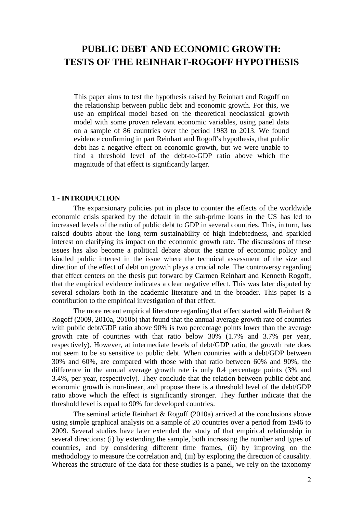# **PUBLIC DEBT AND ECONOMIC GROWTH: TESTS OF THE REINHART-ROGOFF HYPOTHESIS**

This paper aims to test the hypothesis raised by Reinhart and Rogoff on the relationship between public debt and economic growth. For this, we use an empirical model based on the theoretical neoclassical growth model with some proven relevant economic variables, using panel data on a sample of 86 countries over the period 1983 to 2013. We found evidence confirming in part Reinhart and Rogoff's hypothesis, that public debt has a negative effect on economic growth, but we were unable to find a threshold level of the debt-to-GDP ratio above which the magnitude of that effect is significantly larger.

## **1 - INTRODUCTION**

The expansionary policies put in place to counter the effects of the worldwide economic crisis sparked by the default in the sub-prime loans in the US has led to increased levels of the ratio of public debt to GDP in several countries. This, in turn, has raised doubts about the long term sustainability of high indebtedness, and sparkled interest on clarifying its impact on the economic growth rate. The discussions of these issues has also become a political debate about the stance of economic policy and kindled public interest in the issue where the technical assessment of the size and direction of the effect of debt on growth plays a crucial role. The controversy regarding that effect centers on the thesis put forward by Carmen Reinhart and Kenneth Rogoff, that the empirical evidence indicates a clear negative effect. This was later disputed by several scholars both in the academic literature and in the broader. This paper is a contribution to the empirical investigation of that effect.

The more recent empirical literature regarding that effect started with Reinhart  $\&$ Rogoff (2009, 2010a, 2010b) that found that the annual average growth rate of countries with public debt/GDP ratio above 90% is two percentage points lower than the average growth rate of countries with that ratio below 30% (1.7% and 3.7% per year, respectively). However, at intermediate levels of debt/GDP ratio, the growth rate does not seem to be so sensitive to public debt. When countries with a debt/GDP between 30% and 60%, are compared with those with that ratio between 60% and 90%, the difference in the annual average growth rate is only 0.4 percentage points (3% and 3.4%, per year, respectively). They conclude that the relation between public debt and economic growth is non-linear, and propose there is a threshold level of the debt/GDP ratio above which the effect is significantly stronger. They further indicate that the threshold level is equal to 90% for developed countries.

The seminal article Reinhart & Rogoff (2010a) arrived at the conclusions above using simple graphical analysis on a sample of 20 countries over a period from 1946 to 2009. Several studies have later extended the study of that empirical relationship in several directions: (i) by extending the sample, both increasing the number and types of countries, and by considering different time frames, (ii) by improving on the methodology to measure the correlation and, (iii) by exploring the direction of causality. Whereas the structure of the data for these studies is a panel, we rely on the taxonomy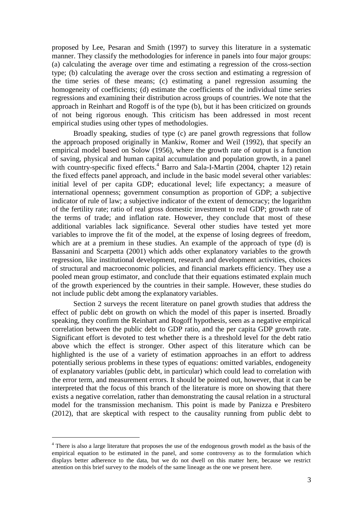proposed by Lee, Pesaran and Smith (1997) to survey this literature in a systematic manner. They classify the methodologies for inference in panels into four major groups: (a) calculating the average over time and estimating a regression of the cross-section type; (b) calculating the average over the cross section and estimating a regression of the time series of these means; (c) estimating a panel regression assuming the homogeneity of coefficients; (d) estimate the coefficients of the individual time series regressions and examining their distribution across groups of countries. We note that the approach in Reinhart and Rogoff is of the type (b), but it has been criticized on grounds of not being rigorous enough. This criticism has been addressed in most recent empirical studies using other types of methodologies.

Broadly speaking, studies of type (c) are panel growth regressions that follow the approach proposed originally in Mankiw, Romer and Weil (1992), that specify an empirical model based on Solow (1956), where the growth rate of output is a function of saving, physical and human capital accumulation and population growth, in a panel with country-specific fixed effects.<sup>4</sup> Barro and Sala-I-Martin (2004, chapter 12) retain the fixed effects panel approach, and include in the basic model several other variables: initial level of per capita GDP; educational level; life expectancy; a measure of international openness; government consumption as proportion of GDP; a subjective indicator of rule of law; a subjective indicator of the extent of democracy; the logarithm of the fertility rate; ratio of real gross domestic investment to real GDP; growth rate of the terms of trade; and inflation rate. However, they conclude that most of these additional variables lack significance. Several other studies have tested yet more variables to improve the fit of the model, at the expense of losing degrees of freedom, which are at a premium in these studies. An example of the approach of type (d) is Bassanini and Scarpetta (2001) which adds other explanatory variables to the growth regression, like institutional development, research and development activities, choices of structural and macroeconomic policies, and financial markets efficiency. They use a pooled mean group estimator, and conclude that their equations estimated explain much of the growth experienced by the countries in their sample. However, these studies do not include public debt among the explanatory variables.

Section 2 surveys the recent literature on panel growth studies that address the effect of public debt on growth on which the model of this paper is inserted. Broadly speaking, they confirm the Reinhart and Rogoff hypothesis, seen as a negative empirical correlation between the public debt to GDP ratio, and the per capita GDP growth rate. Significant effort is devoted to test whether there is a threshold level for the debt ratio above which the effect is stronger. Other aspect of this literature which can be highlighted is the use of a variety of estimation approaches in an effort to address potentially serious problems in these types of equations: omitted variables, endogeneity of explanatory variables (public debt, in particular) which could lead to correlation with the error term, and measurement errors. It should be pointed out, however, that it can be interpreted that the focus of this branch of the literature is more on showing that there exists a negative correlation, rather than demonstrating the causal relation in a structural model for the transmission mechanism. This point is made by Panizza e Presbitero (2012), that are skeptical with respect to the causality running from public debt to

1

<sup>&</sup>lt;sup>4</sup> There is also a large literature that proposes the use of the endogenous growth model as the basis of the empirical equation to be estimated in the panel, and some controversy as to the formulation which displays better adherence to the data, but we do not dwell on this matter here, because we restrict attention on this brief survey to the models of the same lineage as the one we present here.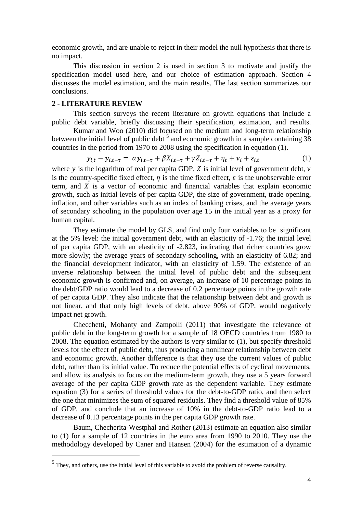economic growth, and are unable to reject in their model the null hypothesis that there is no impact.

This discussion in section 2 is used in section 3 to motivate and justify the specification model used here, and our choice of estimation approach. Section 4 discusses the model estimation, and the main results. The last section summarizes our conclusions.

## **2 - LITERATURE REVIEW**

1

This section surveys the recent literature on growth equations that include a public debt variable, briefly discussing their specification, estimation, and results.

Kumar and Woo (2010) did focused on the medium and long-term relationship between the initial level of public debt  $5$  and economic growth in a sample containing 38 countries in the period from 1970 to 2008 using the specification in equation (1).

$$
y_{i,t} - y_{i,t-\tau} = \alpha y_{i,t-\tau} + \beta X_{i,t-\tau} + \gamma Z_{i,t-\tau} + \eta_t + \nu_i + \varepsilon_{i,t} \tag{1}
$$

where  $\nu$  is the logarithm of real per capita GDP, Z is initial level of government debt,  $\nu$ is the country-specific fixed effect,  $\eta$  is the time fixed effect,  $\varepsilon$  is the unobservable error term, and  $X$  is a vector of economic and financial variables that explain economic growth, such as initial levels of per capita GDP, the size of government, trade opening, inflation, and other variables such as an index of banking crises, and the average years of secondary schooling in the population over age 15 in the initial year as a proxy for human capital.

They estimate the model by GLS, and find only four variables to be significant at the 5% level: the initial government debt, with an elasticity of -1.76; the initial level of per capita GDP, with an elasticity of -2.823, indicating that richer countries grow more slowly; the average years of secondary schooling, with an elasticity of 6.82; and the financial development indicator, with an elasticity of 1.59. The existence of an inverse relationship between the initial level of public debt and the subsequent economic growth is confirmed and, on average, an increase of 10 percentage points in the debt/GDP ratio would lead to a decrease of 0.2 percentage points in the growth rate of per capita GDP. They also indicate that the relationship between debt and growth is not linear, and that only high levels of debt, above 90% of GDP, would negatively impact net growth.

Checchetti, Mohanty and Zampolli (2011) that investigate the relevance of public debt in the long-term growth for a sample of 18 OECD countries from 1980 to 2008. The equation estimated by the authors is very similar to (1), but specify threshold levels for the effect of public debt, thus producing a nonlinear relationship between debt and economic growth. Another difference is that they use the current values of public debt, rather than its initial value. To reduce the potential effects of cyclical movements, and allow its analysis to focus on the medium-term growth, they use a 5 years forward average of the per capita GDP growth rate as the dependent variable. They estimate equation (3) for a series of threshold values for the debt-to-GDP ratio, and then select the one that minimizes the sum of squared residuals. They find a threshold value of 85% of GDP, and conclude that an increase of 10% in the debt-to-GDP ratio lead to a decrease of 0.13 percentage points in the per capita GDP growth rate.

Baum, Checherita-Westphal and Rother (2013) estimate an equation also similar to (1) for a sample of 12 countries in the euro area from 1990 to 2010. They use the methodology developed by Caner and Hansen (2004) for the estimation of a dynamic

 $<sup>5</sup>$  They, and others, use the initial level of this variable to avoid the problem of reverse causality.</sup>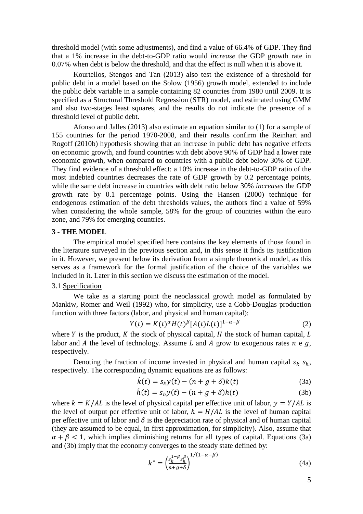threshold model (with some adjustments), and find a value of 66.4% of GDP. They find that a 1% increase in the debt-to-GDP ratio would *increase* the GDP growth rate in 0.07% when debt is below the threshold, and that the effect is null when it is above it.

Kourtellos, Stengos and Tan (2013) also test the existence of a threshold for public debt in a model based on the Solow (1956) growth model, extended to include the public debt variable in a sample containing 82 countries from 1980 until 2009. It is specified as a Structural Threshold Regression (STR) model, and estimated using GMM and also two-stages least squares, and the results do not indicate the presence of a threshold level of public debt.

Afonso and Jalles (2013) also estimate an equation similar to (1) for a sample of 155 countries for the period 1970-2008, and their results confirm the Reinhart and Rogoff (2010b) hypothesis showing that an increase in public debt has negative effects on economic growth, and found countries with debt above 90% of GDP had a lower rate economic growth, when compared to countries with a public debt below 30% of GDP. They find evidence of a threshold effect: a 10% increase in the debt-to-GDP ratio of the most indebted countries decreases the rate of GDP growth by 0.2 percentage points, while the same debt increase in countries with debt ratio below 30% *increases* the GDP growth rate by 0.1 percentage points. Using the Hansen (2000) technique for endogenous estimation of the debt thresholds values, the authors find a value of 59% when considering the whole sample, 58% for the group of countries within the euro zone, and 79% for emerging countries.

#### **3 - THE MODEL**

The empirical model specified here contains the key elements of those found in the literature surveyed in the previous section and, in this sense it finds its justification in it. However, we present below its derivation from a simple theoretical model, as this serves as a framework for the formal justification of the choice of the variables we included in it. Later in this section we discuss the estimation of the model.

# 3.1 Specification

We take as a starting point the neoclassical growth model as formulated by Mankiw, Romer and Weil (1992) who, for simplicity, use a Cobb-Douglas production function with three factors (labor, and physical and human capital):

$$
Y(t) = K(t)^{\alpha} H(t)^{\beta} [A(t)L(t)]^{1-\alpha-\beta}
$$
\n(2)

where  $Y$  is the product,  $K$  the stock of physical capital,  $H$  the stock of human capital,  $L$ labor and A the level of technology. Assume L and A grow to exogenous rates  $n \in g$ , respectively.

Denoting the fraction of income invested in physical and human capital  $S_k S_h$ , respectively. The corresponding dynamic equations are as follows:

$$
\dot{k}(t) = s_k y(t) - (n + g + \delta)k(t) \tag{3a}
$$

$$
\dot{h}(t) = s_h y(t) - (n + g + \delta)h(t) \tag{3b}
$$

where  $k = K/AL$  is the level of physical capital per effective unit of labor,  $y = Y/AL$  is the level of output per effective unit of labor,  $h = H/AL$  is the level of human capital per effective unit of labor and  $\delta$  is the depreciation rate of physical and of human capital (they are assumed to be equal, in first approximation, for simplicity). Also, assume that  $\alpha + \beta < 1$ , which implies diminishing returns for all types of capital. Equations (3a) and (3b) imply that the economy converges to the steady state defined by:

$$
k^* = \left(\frac{s_k^{1-\beta} s_h^{\beta}}{n+g+\delta}\right)^{1/(1-\alpha-\beta)}
$$
(4a)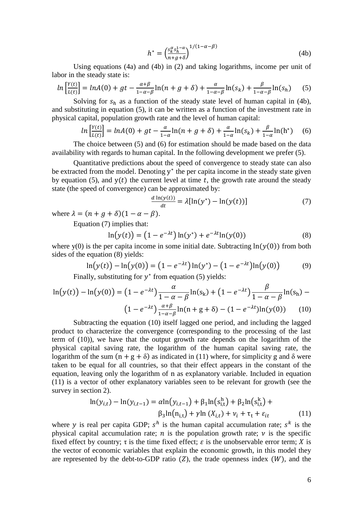$$
h^* = \left(\frac{s_k^{\alpha} s_h^{1-\alpha}}{n+g+\delta}\right)^{1/(1-\alpha-\beta)}
$$
(4b)

Using equations (4a) and (4b) in (2) and taking logarithms, income per unit of labor in the steady state is:

$$
\ln\left[\frac{Y(t)}{L(t)}\right] = \ln A(0) + gt - \frac{\alpha + \beta}{1 - \alpha - \beta} \ln(n + g + \delta) + \frac{\alpha}{1 - \alpha - \beta} \ln(s_k) + \frac{\beta}{1 - \alpha - \beta} \ln(s_h) \tag{5}
$$

Solving for  $s_h$  as a function of the steady state level of human capital in (4b), and substituting in equation (5), it can be written as a function of the investment rate in physical capital, population growth rate and the level of human capital:

$$
\ln\left[\frac{Y(t)}{L(t)}\right] = \ln A(0) + gt - \frac{\alpha}{1-\alpha}\ln(n+g+\delta) + \frac{\alpha}{1-\alpha}\ln(s_k) + \frac{\beta}{1-\alpha}\ln(h^*)\tag{6}
$$

The choice between (5) and (6) for estimation should be made based on the data availability with regards to human capital. In the following development we prefer (5).

Quantitative predictions about the speed of convergence to steady state can also be extracted from the model. Denoting  $y^*$  the per capita income in the steady state given by equation (5), and  $y(t)$  the current level at time t, the growth rate around the steady state (the speed of convergence) can be approximated by:

$$
\frac{d \ln(y(t))}{dt} = \lambda[\ln(y^*) - \ln(y(t))]
$$
\n(7)

where  $\lambda = (n + q + \delta)(1 - \alpha - \beta)$ .

Equation (7) implies that:

$$
\ln(y(t)) = (1 - e^{-\lambda t}) \ln(y^*) + e^{-\lambda t} \ln(y(0))
$$
\n(8)

where y(0) is the per capita income in some initial date. Subtracting  $\ln(\gamma(0))$  from both sides of the equation (8) yields:

$$
\ln(y(t)) - \ln(y(0)) = (1 - e^{-\lambda t}) \ln(y^*) - (1 - e^{-\lambda t}) \ln(y(0)) \tag{9}
$$

Finally, substituting for  $y^*$  from equation (5) yields:

$$
\ln(y(t)) - \ln(y(0)) = (1 - e^{-\lambda t}) \frac{\alpha}{1 - \alpha - \beta} \ln(s_k) + (1 - e^{-\lambda t}) \frac{\beta}{1 - \alpha - \beta} \ln(s_h) - (1 - e^{-\lambda t}) \frac{\alpha + \beta}{1 - \alpha - \beta} \ln(n + g + \delta) - (1 - e^{-\lambda t}) \ln(y(0)) \tag{10}
$$

Subtracting the equation (10) itself lagged one period, and including the lagged product to characterize the convergence (corresponding to the processing of the last term of (10)), we have that the output growth rate depends on the logarithm of the physical capital saving rate, the logarithm of the human capital saving rate, the logarithm of the sum  $(n + g + \delta)$  as indicated in (11) where, for simplicity g and  $\delta$  were taken to be equal for all countries, so that their effect appears in the constant of the equation, leaving only the logarithm of n as explanatory variable. Included in equation (11) is a vector of other explanatory variables seen to be relevant for growth (see the survey in section 2).

$$
\ln(y_{i,t}) - \ln(y_{i,t-1}) = \alpha \ln(y_{i,t-1}) + \beta_1 \ln(s_{i,t}^h) + \beta_2 \ln(s_{i,t}^k) + \beta_3 \ln(n_{i,t}) + \gamma \ln(X_{i,t}) + \nu_i + \tau_t + \varepsilon_{it}
$$
(11)

where y is real per capita GDP;  $s^h$  is the human capital accumulation rate;  $s^k$  is the physical capital accumulation rate; *n* is the population growth rate; *v* is the specific fixed effect by country;  $\tau$  is the time fixed effect;  $\varepsilon$  is the unobservable error term; X is the vector of economic variables that explain the economic growth, in this model they are represented by the debt-to-GDP ratio  $(Z)$ , the trade openness index  $(W)$ , and the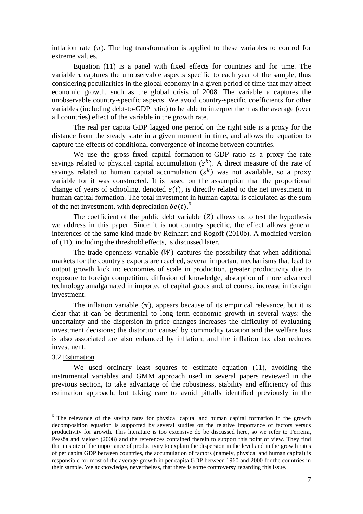inflation rate  $(\pi)$ . The log transformation is applied to these variables to control for extreme values.

Equation (11) is a panel with fixed effects for countries and for time. The variable  $\tau$  captures the unobservable aspects specific to each year of the sample, thus considering peculiarities in the global economy in a given period of time that may affect economic growth, such as the global crisis of 2008. The variable  $\nu$  captures the unobservable country-specific aspects. We avoid country-specific coefficients for other variables (including debt-to-GDP ratio) to be able to interpret them as the average (over all countries) effect of the variable in the growth rate.

The real per capita GDP lagged one period on the right side is a proxy for the distance from the steady state in a given moment in time, and allows the equation to capture the effects of conditional convergence of income between countries.

We use the gross fixed capital formation-to-GDP ratio as a proxy the rate savings related to physical capital accumulation  $(s^k)$ . A direct measure of the rate of savings related to human capital accumulation  $(s^k)$  was not available, so a proxy variable for it was constructed. It is based on the assumption that the proportional change of years of schooling, denoted  $e(t)$ , is directly related to the net investment in human capital formation. The total investment in human capital is calculated as the sum of the net investment, with depreciation  $\delta e(t)$ .

The coefficient of the public debt variable  $(Z)$  allows us to test the hypothesis we address in this paper. Since it is not country specific, the effect allows general inferences of the same kind made by Reinhart and Rogoff (2010b). A modified version of (11), including the threshold effects, is discussed later.

The trade openness variable  $(W)$  captures the possibility that when additional markets for the country's exports are reached, several important mechanisms that lead to output growth kick in: economies of scale in production, greater productivity due to exposure to foreign competition, diffusion of knowledge, absorption of more advanced technology amalgamated in imported of capital goods and, of course, increase in foreign investment.

The inflation variable  $(\pi)$ , appears because of its empirical relevance, but it is clear that it can be detrimental to long term economic growth in several ways: the uncertainty and the dispersion in price changes increases the difficulty of evaluating investment decisions; the distortion caused by commodity taxation and the welfare loss is also associated are also enhanced by inflation; and the inflation tax also reduces investment.

## 3.2 Estimation

<u>.</u>

We used ordinary least squares to estimate equation (11), avoiding the instrumental variables and GMM approach used in several papers reviewed in the previous section, to take advantage of the robustness, stability and efficiency of this estimation approach, but taking care to avoid pitfalls identified previously in the

<sup>&</sup>lt;sup>6</sup> The relevance of the saving rates for physical capital and human capital formation in the growth decomposition equation is supported by several studies on the relative importance of factors versus productivity for growth. This literature is too extensive do be discussed here, so we refer to Ferreira, Pessôa and Veloso (2008) and the references contained therein to support this point of view. They find that in spite of the importance of productivity to explain the dispersion in the level and in the growth rates of per capita GDP between countries, the accumulation of factors (namely, physical and human capital) is responsible for most of the average growth in per capita GDP between 1960 and 2000 for the countries in their sample. We acknowledge, nevertheless, that there is some controversy regarding this issue.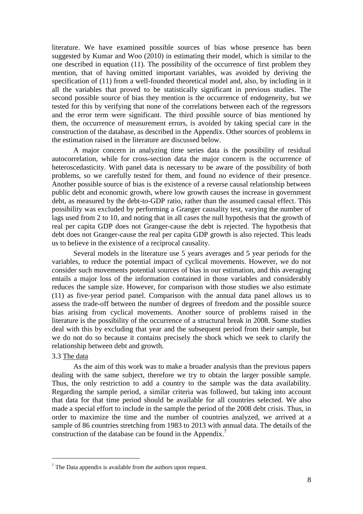literature. We have examined possible sources of bias whose presence has been suggested by Kumar and Woo (2010) in estimating their model, which is similar to the one described in equation (11). The possibility of the occurrence of first problem they mention, that of having omitted important variables, was avoided by deriving the specification of (11) from a well-founded theoretical model and, also, by including in it all the variables that proved to be statistically significant in previous studies. The second possible source of bias they mention is the occurrence of endogeneity, but we tested for this by verifying that none of the correlations between each of the regressors and the error term were significant. The third possible source of bias mentioned by them, the occurrence of measurement errors, is avoided by taking special care in the construction of the database, as described in the Appendix. Other sources of problems in the estimation raised in the literature are discussed below.

A major concern in analyzing time series data is the possibility of residual autocorrelation, while for cross-section data the major concern is the occurrence of heteroscedasticity. With panel data is necessary to be aware of the possibility of both problems, so we carefully tested for them, and found no evidence of their presence. Another possible source of bias is the existence of a reverse causal relationship between public debt and economic growth, where low growth causes the increase in government debt, as measured by the debt-to-GDP ratio, rather than the assumed causal effect. This possibility was excluded by performing a Granger causality test, varying the number of lags used from 2 to 10, and noting that in all cases the null hypothesis that the growth of real per capita GDP does not Granger-cause the debt is rejected. The hypothesis that debt does not Granger-cause the real per capita GDP growth is also rejected. This leads us to believe in the existence of a reciprocal causality.

Several models in the literature use 5 years averages and 5 year periods for the variables, to reduce the potential impact of cyclical movements. However, we do not consider such movements potential sources of bias in our estimation, and this averaging entails a major loss of the information contained in those variables and considerably reduces the sample size. However, for comparison with those studies we also estimate (11) as five-year period panel. Comparison with the annual data panel allows us to assess the trade-off between the number of degrees of freedom and the possible source bias arising from cyclical movements. Another source of problems raised in the literature is the possibility of the occurrence of a structural break in 2008. Some studies deal with this by excluding that year and the subsequent period from their sample, but we do not do so because it contains precisely the shock which we seek to clarify the relationship between debt and growth.

#### 3.3 The data

1

As the aim of this work was to make a broader analysis than the previous papers dealing with the same subject, therefore we try to obtain the larger possible sample. Thus, the only restriction to add a country to the sample was the data availability. Regarding the sample period, a similar criteria was followed, but taking into account that data for that time period should be available for all countries selected. We also made a special effort to include in the sample the period of the 2008 debt crisis. Thus, in order to maximize the time and the number of countries analyzed, we arrived at a sample of 86 countries stretching from 1983 to 2013 with annual data. The details of the construction of the database can be found in the Appendix.<sup>7</sup>

 $<sup>7</sup>$  The Data appendix is available from the authors upon request.</sup>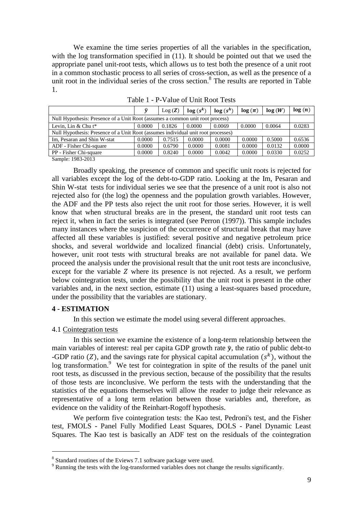We examine the time series properties of all the variables in the specification, with the log transformation specified in  $(11)$ . It should be pointed out that we used the appropriate panel unit-root tests, which allows us to test both the presence of a unit root in a common stochastic process to all series of cross-section, as well as the presence of a unit root in the individual series of the cross section.<sup>8</sup> The results are reported in Table 1.

| ŵ                                                                             | Log(Z) | $log(s^k)$ | log(s <sup>h</sup> ) | $log(\pi)$                                                                        | log(W) | log(n) |  |  |
|-------------------------------------------------------------------------------|--------|------------|----------------------|-----------------------------------------------------------------------------------|--------|--------|--|--|
| Null Hypothesis: Presence of a Unit Root (assumes a common unit root process) |        |            |                      |                                                                                   |        |        |  |  |
| 0.0000                                                                        | 0.1826 | 0.0000     | 0.0069               | 0.0000                                                                            | 0.0064 | 0.0283 |  |  |
|                                                                               |        |            |                      |                                                                                   |        |        |  |  |
| 0.0000                                                                        | 0.7515 | 0.0000     | 0.0000               | 0.0000                                                                            | 0.5000 | 0.6536 |  |  |
| 0.0000                                                                        | 0.6790 | 0.0000     | 0.0081               | 0.0000                                                                            | 0.0132 | 0.0000 |  |  |
| 0.0000                                                                        | 0.8240 | 0.0000     | 0.0042               | 0.0000                                                                            | 0.0330 | 0.0252 |  |  |
|                                                                               |        |            |                      | Null Hypothesis: Presence of a Unit Root (assumes individual unit root processes) |        |        |  |  |

Table 1 - P-Value of Unit Root Tests

Sample: 1983-2013

Broadly speaking, the presence of common and specific unit roots is rejected for all variables except the log of the debt-to-GDP ratio. Looking at the Im, Pesaran and Shin W-stat tests for individual series we see that the presence of a unit root is also not rejected also for (the log) the openness and the population growth variables. However, the ADF and the PP tests also reject the unit root for those series. However, it is well know that when structural breaks are in the present, the standard unit root tests can reject it, when in fact the series is integrated (see Perron (1997)). This sample includes many instances where the suspicion of the occurrence of structural break that may have affected all these variables is justified: several positive and negative petroleum price shocks, and several worldwide and localized financial (debt) crisis. Unfortunately, however, unit root tests with structural breaks are not available for panel data. We proceed the analysis under the provisional result that the unit root tests are inconclusive, except for the variable  $Z$  where its presence is not rejected. As a result, we perform below cointegration tests, under the possibility that the unit root is present in the other variables and, in the next section, estimate (11) using a least-squares based procedure, under the possibility that the variables are stationary.

#### **4 - ESTIMATION**

<u>.</u>

In this section we estimate the model using several different approaches.

#### 4.1 Cointegration tests

In this section we examine the existence of a long-term relationship between the main variables of interest: real per capita GDP growth rate  $\hat{y}$ , the ratio of public debt-to -GDP ratio (Z), and the savings rate for physical capital accumulation  $(s^k)$ , without the log transformation.<sup>9</sup> We test for cointegration in spite of the results of the panel unit root tests, as discussed in the previous section, because of the possibility that the results of those tests are inconclusive. We perform the tests with the understanding that the statistics of the equations themselves will allow the reader to judge their relevance as representative of a long term relation between those variables and, therefore, as evidence on the validity of the Reinhart-Rogoff hypothesis.

We perform five cointegration tests: the Kao test, Pedroni's test, and the Fisher test, FMOLS - Panel Fully Modified Least Squares, DOLS - Panel Dynamic Least Squares. The Kao test is basically an ADF test on the residuals of the cointegration

<sup>&</sup>lt;sup>8</sup> Standard routines of the Eviews 7.1 software package were used.

 $9^9$  Running the tests with the log-transformed variables does not change the results significantly.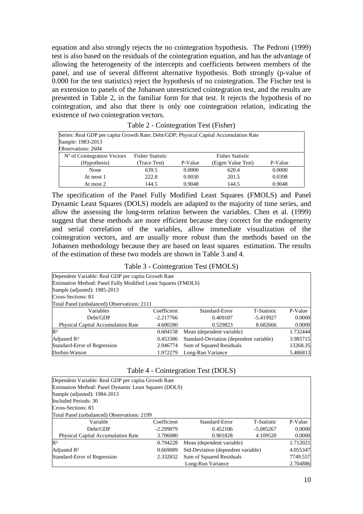equation and also strongly rejects the no cointegration hypothesis. The Pedroni (1999) test is also based on the residuals of the cointegration equation, and has the advantage of allowing the heterogeneity of the intercepts and coefficients between members of the panel, and use of several different alternative hypothesis. Both strongly (p-value of 0.000 for the test statistics) reject the hypothesis of no cointegration. The Fischer test is an extension to panels of the Johansen unrestricted cointegration test, and the results are presented in Table 2, in the familiar form for that test. It rejects the hypothesis of no cointegration, and also that there is only one cointegration relation, indicating the existence of *two* cointegration vectors.

| Series: Real GDP per capita Growth Rate; Debt/GDP; Physical Capital Accumulation Rate |                         |         |                         |         |  |  |
|---------------------------------------------------------------------------------------|-------------------------|---------|-------------------------|---------|--|--|
| Sample: 1983-2013                                                                     |                         |         |                         |         |  |  |
| Observations: 2604                                                                    |                         |         |                         |         |  |  |
| N° of Cointegration Vectors                                                           | <b>Fisher Statistic</b> |         | <b>Fisher Statistic</b> |         |  |  |
| (Hypothesis)                                                                          | (Trace Test)            | P-Value | (Eigen Value Test)      | P-Value |  |  |
| None                                                                                  | 639.5                   | 0.0000  | 620.4                   | 0.0000  |  |  |
| At most 1                                                                             | 222.8                   | 0.0030  | 201.5                   | 0.0398  |  |  |
| At most 2                                                                             | 144.5                   | 0.9048  | 144.5                   | 0.9048  |  |  |

| Table 2 - Cointegration Test (Fisher) |  |
|---------------------------------------|--|
|---------------------------------------|--|

The specification of the Panel Fully Modified Least Squares (FMOLS) and Panel Dynamic Least Squares (DOLS) models are adapted to the majority of time series, and allow the assessing the long-term relation between the variables. Chen et al. (1999) suggest that these methods are more efficient because they correct for the endogeneity and serial correlation of the variables, allow immediate visualization of the cointegration vectors, and are usually more robust than the methods based on the Johansen methodology because they are based on least squares estimation. The results of the estimation of these two models are shown in Table 3 and 4.

Table 3 - Cointegration Test (FMOLS)

| Dependent Variable: Real GDP per capita Growth Rate           |             |                                                     |             |          |  |  |  |
|---------------------------------------------------------------|-------------|-----------------------------------------------------|-------------|----------|--|--|--|
| Estimation Method: Panel Fully Modified Least Squares (FMOLS) |             |                                                     |             |          |  |  |  |
| Sample (adjusted): 1985-2013                                  |             |                                                     |             |          |  |  |  |
| Cross-Sections: 83                                            |             |                                                     |             |          |  |  |  |
| Total Panel (unbalanced) Observations: 2111                   |             |                                                     |             |          |  |  |  |
| Variables                                                     | Coefficient | Standard-Error                                      | T-Statistic | P-Value  |  |  |  |
| Debt/GDP                                                      | $-2.217766$ | 0.409187                                            | $-5.419927$ | 0.0000   |  |  |  |
| <b>Physical Capital Accumulation Rate</b>                     | 4.600280    | 0.529823                                            | 8.682666    | 0.0000   |  |  |  |
| $\mathbb{R}^2$                                                | 0.604158    | Mean (dependent variable)                           |             | 1.732444 |  |  |  |
| Adjusted R <sup>2</sup>                                       | 0.453386    | Standard-Deviation (dependent variable)<br>3.985715 |             |          |  |  |  |
| <b>Standard-Error of Regression</b>                           | 2.946774    | Sum of Squared Residuals<br>13268.35                |             |          |  |  |  |
| Durbin-Watson                                                 | 1.972279    | Long-Run Variance                                   |             | 5.486813 |  |  |  |

|  | Table 4 - Cointegration Test (DOLS) |  |  |
|--|-------------------------------------|--|--|
|--|-------------------------------------|--|--|

| Dependent Variable: Real GDP per capita Growth Rate   |             |                                                |                    |          |  |
|-------------------------------------------------------|-------------|------------------------------------------------|--------------------|----------|--|
| Estimation Method: Panel Dynamic Least Squares (DOLS) |             |                                                |                    |          |  |
| Sample (adjusted): 1984-2013                          |             |                                                |                    |          |  |
| Included Periods: 30                                  |             |                                                |                    |          |  |
| Cross-Sections: 83                                    |             |                                                |                    |          |  |
| Total Panel (unbalanced) Observations: 2199           |             |                                                |                    |          |  |
| Variable                                              | Coefficient | Standard-Error                                 | <b>T-Statistic</b> | P-Value  |  |
| Debt/GDP                                              | $-2.299079$ | 0.452106                                       | $-5.085267$        | 0.0000   |  |
| <b>Physical Capital Accumulation Rate</b>             | 3.706080    | 0.901828                                       | 4.109520           | 0.0000   |  |
| $\mathbb{R}^2$                                        | 0.794228    | Mean (dependent variable)                      |                    | 1.712021 |  |
| Adjusted R <sup>2</sup>                               | 0.669089    | Std-Deviation (dependent variable)<br>4.055347 |                    |          |  |
| Standard-Error of Regression                          | 2.332832    | Sum of Squared Residuals                       |                    | 7749.557 |  |
|                                                       |             | Long-Run Variance                              |                    | 2.704886 |  |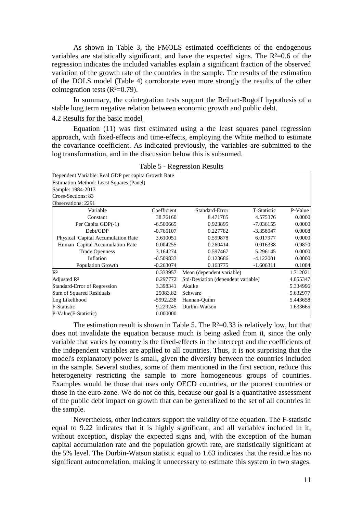As shown in Table 3, the FMOLS estimated coefficients of the endogenous variables are statistically significant, and have the expected signs. The  $R<sup>2</sup>=0.6$  of the regression indicates the included variables explain a significant fraction of the observed variation of the growth rate of the countries in the sample. The results of the estimation of the DOLS model (Table 4) corroborate even more strongly the results of the other cointegration tests  $(R<sup>2</sup>=0.79)$ .

In summary, the cointegration tests support the Reihart-Rogoff hypothesis of a stable long term negative relation between economic growth and public debt.

## 4.2 Results for the basic model

Equation (11) was first estimated using a the least squares panel regression approach, with fixed-effects and time-effects, employing the White method to estimate the covariance coefficient. As indicated previously, the variables are submitted to the log transformation, and in the discussion below this is subsumed.

| Dependent Variable: Real GDP per capita Growth Rate |             |                                    |             |          |
|-----------------------------------------------------|-------------|------------------------------------|-------------|----------|
| Estimation Method: Least Squares (Panel)            |             |                                    |             |          |
| Sample: 1984-2013                                   |             |                                    |             |          |
| Cross-Sections: 83                                  |             |                                    |             |          |
| Observations: 2291                                  |             |                                    |             |          |
| Variable                                            | Coefficient | Standard-Error                     | T-Statistic | P-Value  |
| Constant                                            | 38.76160    | 8.471785                           | 4.575376    | 0.0000   |
| Per Capita GDP(-1)                                  | $-6.500665$ | 0.923895                           | $-7.036155$ | 0.0000   |
| Debt/GDP                                            | $-0.765107$ | 0.227782                           | $-3.358947$ | 0.0008   |
| Physical Capital Accumulation Rate                  | 3.610051    | 0.599878                           | 6.017977    | 0.0000   |
| Human Capital Accumulation Rate                     | 0.004255    | 0.260414                           | 0.016338    | 0.9870   |
| <b>Trade Openness</b>                               | 3.164274    | 0.597467                           | 5.296145    | 0.0000   |
| Inflation                                           | $-0.509833$ | 0.123686                           | $-4.122001$ | 0.0000   |
| <b>Population Growth</b>                            | $-0.263074$ | 0.163775                           | $-1.606311$ | 0.1084   |
| $\mathbb{R}^2$                                      | 0.333957    | Mean (dependent variable)          |             | 1.712021 |
| Adjusted $\mathbb{R}^2$                             | 0.297772    | Std-Deviation (dependent variable) |             | 4.055347 |
| <b>Standard-Error of Regression</b>                 | 3.398341    | Akaike                             |             | 5.334996 |
| Sum of Squared Residuals                            | 25083.82    | Schwarz                            |             | 5.632977 |
| Log Likelihood                                      | $-5992.238$ | Hannan-Quinn                       |             | 5.443658 |
| <b>F-Statistic</b>                                  | 9.229245    | Durbin-Watson                      |             | 1.633665 |
| P-Value(F-Statistic)                                | 0.000000    |                                    |             |          |

| <b>Table 5 - Regression Results</b> |  |  |
|-------------------------------------|--|--|
|-------------------------------------|--|--|

The estimation result is shown in Table 5. The  $R<sup>2</sup>=0.33$  is relatively low, but that does not invalidate the equation because much is being asked from it, since the only variable that varies by country is the fixed-effects in the intercept and the coefficients of the independent variables are applied to all countries. Thus, it is not surprising that the model's explanatory power is small, given the diversity between the countries included in the sample. Several studies, some of them mentioned in the first section, reduce this heterogeneity restricting the sample to more homogeneous groups of countries. Examples would be those that uses only OECD countries, or the poorest countries or those in the euro-zone. We do not do this, because our goal is a quantitative assessment of the public debt impact on growth that can be generalized to the set of all countries in the sample.

Nevertheless, other indicators support the validity of the equation. The F-statistic equal to 9.22 indicates that it is highly significant, and all variables included in it, without exception, display the expected signs and, with the exception of the human capital accumulation rate and the population growth rate, are statistically significant at the 5% level. The Durbin-Watson statistic equal to 1.63 indicates that the residue has no significant autocorrelation, making it unnecessary to estimate this system in two stages.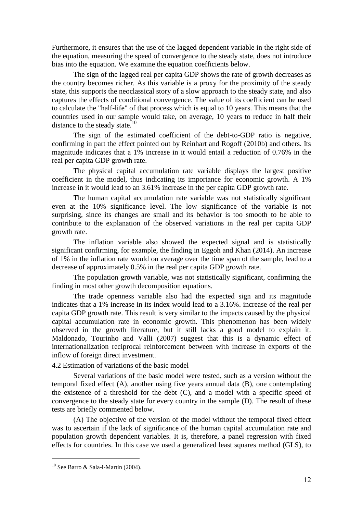Furthermore, it ensures that the use of the lagged dependent variable in the right side of the equation, measuring the speed of convergence to the steady state, does not introduce bias into the equation. We examine the equation coefficients below.

The sign of the lagged real per capita GDP shows the rate of growth decreases as the country becomes richer. As this variable is a proxy for the proximity of the steady state, this supports the neoclassical story of a slow approach to the steady state, and also captures the effects of conditional convergence. The value of its coefficient can be used to calculate the "half-life" of that process which is equal to 10 years. This means that the countries used in our sample would take, on average, 10 years to reduce in half their distance to the steady state. $10$ 

The sign of the estimated coefficient of the debt-to-GDP ratio is negative, confirming in part the effect pointed out by Reinhart and Rogoff (2010b) and others. Its magnitude indicates that a 1% increase in it would entail a reduction of 0.76% in the real per capita GDP growth rate.

The physical capital accumulation rate variable displays the largest positive coefficient in the model, thus indicating its importance for economic growth. A 1% increase in it would lead to an 3.61% increase in the per capita GDP growth rate.

The human capital accumulation rate variable was not statistically significant even at the 10% significance level. The low significance of the variable is not surprising, since its changes are small and its behavior is too smooth to be able to contribute to the explanation of the observed variations in the real per capita GDP growth rate.

The inflation variable also showed the expected signal and is statistically significant confirming, for example, the finding in Eggoh and Khan (2014). An increase of 1% in the inflation rate would on average over the time span of the sample, lead to a decrease of approximately 0.5% in the real per capita GDP growth rate.

The population growth variable, was not statistically significant, confirming the finding in most other growth decomposition equations.

The trade openness variable also had the expected sign and its magnitude indicates that a 1% increase in its index would lead to a 3.16%. increase of the real per capita GDP growth rate. This result is very similar to the impacts caused by the physical capital accumulation rate in economic growth. This phenomenon has been widely observed in the growth literature, but it still lacks a good model to explain it. Maldonado, Tourinho and Valli (2007) suggest that this is a dynamic effect of internationalization reciprocal reinforcement between with increase in exports of the inflow of foreign direct investment.

# 4.2 Estimation of variations of the basic model

Several variations of the basic model were tested, such as a version without the temporal fixed effect (A), another using five years annual data (B), one contemplating the existence of a threshold for the debt (C), and a model with a specific speed of convergence to the steady state for every country in the sample (D). The result of these tests are briefly commented below.

(A) The objective of the version of the model without the temporal fixed effect was to ascertain if the lack of significance of the human capital accumulation rate and population growth dependent variables. It is, therefore, a panel regression with fixed effects for countries. In this case we used a generalized least squares method (GLS), to

1

 $10$  See Barro & Sala-i-Martin (2004).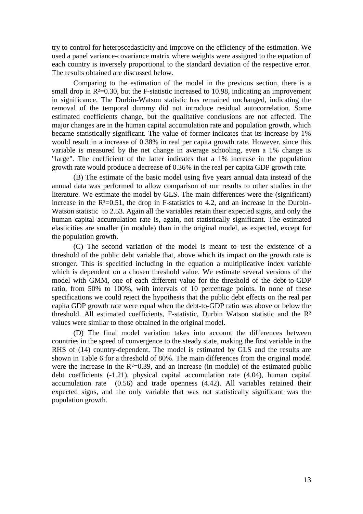try to control for heteroscedasticity and improve on the efficiency of the estimation. We used a panel variance-covariance matrix where weights were assigned to the equation of each country is inversely proportional to the standard deviation of the respective error. The results obtained are discussed below.

Comparing to the estimation of the model in the previous section, there is a small drop in  $R<sup>2</sup>=0.30$ , but the F-statistic increased to 10.98, indicating an improvement in significance. The Durbin-Watson statistic has remained unchanged, indicating the removal of the temporal dummy did not introduce residual autocorrelation. Some estimated coefficients change, but the qualitative conclusions are not affected. The major changes are in the human capital accumulation rate and population growth, which became statistically significant. The value of former indicates that its increase by 1% would result in a increase of 0.38% in real per capita growth rate. However, since this variable is measured by the net change in average schooling, even a 1% change is "large". The coefficient of the latter indicates that a 1% increase in the population growth rate would produce a decrease of 0.36% in the real per capita GDP growth rate.

(B) The estimate of the basic model using five years annual data instead of the annual data was performed to allow comparison of our results to other studies in the literature. We estimate the model by GLS. The main differences were the (significant) increase in the  $R<sup>2</sup>=0.51$ , the drop in F-statistics to 4.2, and an increase in the Durbin-Watson statistic to 2.53. Again all the variables retain their expected signs, and only the human capital accumulation rate is, again, not statistically significant. The estimated elasticities are smaller (in module) than in the original model, as expected, except for the population growth.

(C) The second variation of the model is meant to test the existence of a threshold of the public debt variable that, above which its impact on the growth rate is stronger. This is specified including in the equation a multiplicative index variable which is dependent on a chosen threshold value. We estimate several versions of the model with GMM, one of each different value for the threshold of the debt-to-GDP ratio, from 50% to 100%, with intervals of 10 percentage points. In none of these specifications we could reject the hypothesis that the public debt effects on the real per capita GDP growth rate were equal when the debt-to-GDP ratio was above or below the threshold. All estimated coefficients, F-statistic, Durbin Watson statistic and the R² values were similar to those obtained in the original model.

(D) The final model variation takes into account the differences between countries in the speed of convergence to the steady state, making the first variable in the RHS of (14) country-dependent. The model is estimated by GLS and the results are shown in Table 6 for a threshold of 80%. The main differences from the original model were the increase in the  $R<sup>2</sup>=0.39$ , and an increase (in module) of the estimated public debt coefficients (-1.21), physical capital accumulation rate (4.04), human capital accumulation rate (0.56) and trade openness (4.42). All variables retained their expected signs, and the only variable that was not statistically significant was the population growth.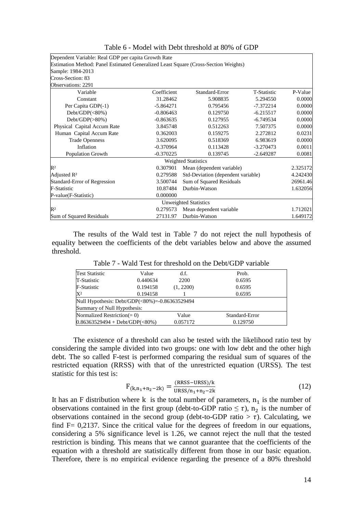| Dependent Variable: Real GDP per capita Growth Rate                                 |             |                                    |                    |          |
|-------------------------------------------------------------------------------------|-------------|------------------------------------|--------------------|----------|
| Estimation Method: Panel Estimated Generalized Least Square (Cross-Section Weights) |             |                                    |                    |          |
| Sample: 1984-2013                                                                   |             |                                    |                    |          |
| Cross-Section: 83                                                                   |             |                                    |                    |          |
| Observations: 2291                                                                  |             |                                    |                    |          |
| Variable                                                                            | Coefficient | Standard-Error                     | <b>T-Statistic</b> | P-Value  |
| Constant                                                                            | 31.28462    | 5.908835                           | 5.294550           | 0.0000   |
| Per Capita GDP(-1)                                                                  | $-5.864271$ | 0.795456                           | $-7.372214$        | 0.0000   |
| $Debt/GDP(<80\%)$                                                                   | $-0.806463$ | 0.129750                           | $-6.215517$        | 0.0000   |
| $Debt/GDP(\geq 80\%)$                                                               | $-0.863635$ | 0.127955                           | $-6.749534$        | 0.0000   |
| Physical Capital Accum Rate                                                         | 3.845748    | 0.512263                           | 7.507375           | 0.0000   |
| Human Capital Accum Rate                                                            | 0.362003    | 0.159275                           | 2.272812           | 0.0231   |
| <b>Trade Openness</b>                                                               | 3.620095    | 0.518369                           | 6.983619           | 0.0000   |
| Inflation                                                                           | $-0.370964$ | 0.113428                           | $-3.270473$        | 0.0011   |
| <b>Population Growth</b>                                                            | $-0.370225$ | 0.139745                           | $-2.649287$        | 0.0081   |
|                                                                                     |             | <b>Weighted Statistics</b>         |                    |          |
| $\mathbb{R}^2$                                                                      | 0.307901    | Mean (dependent variable)          |                    | 2.325172 |
| Adjusted $\mathbb{R}^2$                                                             | 0.279588    | Std-Deviation (dependent variable) |                    | 4.242430 |
| Standard-Error of Regression                                                        | 3.500744    | Sum of Squared Residuals           |                    | 26961.46 |
| <b>F-Statistic</b>                                                                  | 10.87484    | Durbin-Watson                      |                    | 1.632056 |
| P-value(F-Statistic)                                                                | 0.000000    |                                    |                    |          |
|                                                                                     |             | Unweighted Statistics              |                    |          |
| $\mathbb{R}^2$                                                                      | 0.279573    | Mean dependent variable            |                    | 1.712021 |
| Sum of Squared Residuals                                                            | 27131.97    | Durbin-Watson                      |                    | 1.649172 |
|                                                                                     |             |                                    |                    |          |

Table 6 - Model with Debt threshold at 80% of GDP

The results of the Wald test in Table 7 do not reject the null hypothesis of equality between the coefficients of the debt variables below and above the assumed threshold.

| <b>Test Statistic</b>                          | Value    | d.f.      | Prob.          |
|------------------------------------------------|----------|-----------|----------------|
| T-Statistic                                    | 0.440634 | 2200      | 0.6595         |
| <b>F-Statistic</b>                             | 0.194158 | (1, 2200) | 0.6595         |
| $X^2$                                          | 0.194158 |           | 0.6595         |
| Null Hypothesis: Debt/GDP(<80%)=-0.86363529494 |          |           |                |
| Summary of Null Hypothesis:                    |          |           |                |
| Normalized Restriction( $= 0$ )                |          | Value     | Standard-Error |
| $0.86363529494 + \text{Debt/GDP}(\leq 80\%)$   |          | 0.057172  | 0.129750       |

Table 7 - Wald Test for threshold on the Debt/GDP variable

The existence of a threshold can also be tested with the likelihood ratio test by considering the sample divided into two groups: one with low debt and the other high debt. The so called F-test is performed comparing the residual sum of squares of the restricted equation (RRSS) with that of the unrestricted equation (URSS). The test statistic for this test is:

$$
F_{(k,n_1+n_2-2k)} = \frac{(RRSS-URSS)/k}{URSS/n_1+n_2-2k}
$$
\n(12)

It has an F distribution where  $k$  is the total number of parameters,  $n_1$  is the number of observations contained in the first group (debt-to-GDP ratio  $\leq \tau$ ), n<sub>2</sub> is the number of observations contained in the second group (debt-to-GDP ratio  $> \tau$ ). Calculating, we find  $F = 0.2137$ . Since the critical value for the degrees of freedom in our equations, considering a 5% significance level is 1.26, we cannot reject the null that the tested restriction is binding. This means that we cannot guarantee that the coefficients of the equation with a threshold are statistically different from those in our basic equation. Therefore, there is no empirical evidence regarding the presence of a 80% threshold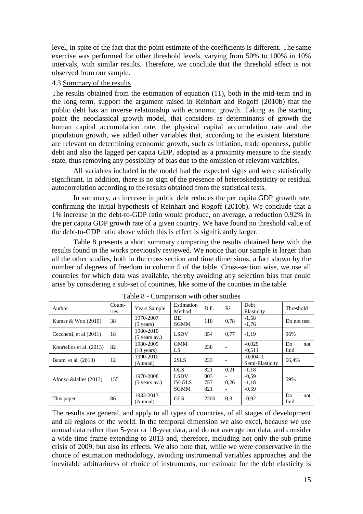level, in spite of the fact that the point estimate of the coefficients is different. The same exercise was performed for other threshold levels, varying from 50% to 100% in 10% intervals, with similar results. Therefore, we conclude that the threshold effect is not observed from our sample.

#### 4.3 Summary of the results

The results obtained from the estimation of equation (11), both in the mid-term and in the long term, support the argument raised in Reinhart and Rogoff (2010b) that the public debt has an inverse relationship with economic growth. Taking as the starting point the neoclassical growth model, that considers as determinants of growth the human capital accumulation rate, the physical capital accumulation rate and the population growth, we added other variables that, according to the existent literature, are relevant on determining economic growth, such as inflation, trade openness, public debt and also the lagged per capita GDP, adopted as a proximity measure to the steady state, thus removing any possibility of bias due to the omission of relevant variables.

All variables included in the model had the expected signs and were statistically significant. In addition, there is no sign of the presence of heteroskedasticity or residual autocorrelation according to the results obtained from the statistical tests.

In summary, an increase in public debt reduces the per capita GDP growth rate, confirming the initial hypothesis of Reinhart and Rogoff (2010b). We conclude that a 1% increase in the debt-to-GDP ratio would produce, on average, a reduction 0.92% in the per capita GDP growth rate of a given country. We have found no threshold value of the debt-to-GDP ratio above which this is effect is significantly larger.

Table 8 presents a short summary comparing the results obtained here with the results found in the works previously reviewed. We notice that our sample is larger than all the other studies, both in the cross section and time dimensions, a fact shown by the number of degrees of freedom in column 5 of the table. Cross-section wise, we use all countries for which data was available, thereby avoiding any selection bias that could arise by considering a sub-set of countries, like some of the counties in the table.

| Author                   | Count-<br>ries | Years Sample                      | Estimation<br>Method  | D.F.       | R <sup>2</sup> | Debt<br>Elasticity            | Threshold         |
|--------------------------|----------------|-----------------------------------|-----------------------|------------|----------------|-------------------------------|-------------------|
| Kumar & Woo (2010)       | 38             | 1970-2007<br>$(5 \text{ years})$  | BE<br><b>SGMM</b>     | 118        | 0,78           | $-1,58$<br>$-1.76$            | Do not test       |
| Cecchetti, et al (2011)  | 18             | 1980-2010<br>$(5$ years av.)      | <b>LSDV</b>           | 354        | 0.77           | $-1.19$                       | 96%               |
| Kourtellos et al. (2013) | 82             | 1980-2009<br>$(10 \text{ years})$ | <b>GMM</b><br>LS      | 238        |                | $-0.029$<br>$-0.511$          | Do<br>not<br>find |
| Baum, et al. (2013)      | 12             | 1990-2010<br>(Annual)             | 2SLS                  | 233        |                | $-0.00411$<br>Semi-Elasticity | 66,4%             |
|                          |                | 1970-2008                         | OLS.<br><b>LSDV</b>   | 821<br>803 | 0.21           | $-1,18$<br>$-0.59$            |                   |
| Afonso & Jalles (2013)   | 155            | $(5$ years av.)                   | <b>IV-GLS</b><br>SGMM | 757<br>821 | 0.26           | $-1,18$<br>$-0.59$            | 59%               |
| This paper               | 86             | 1983-2013<br>(Annual)             | <b>GLS</b>            | 2200       | 0.3            | $-0.92$                       | Do<br>not<br>find |

Table 8 - Comparison with other studies

The results are general, and apply to all types of countries, of all stages of development and all regions of the world. In the temporal dimension we also excel, because we use annual data rather than 5-year or 10-year data, and do not average our data, and consider a wide time frame extending to 2013 and, therefore, including not only the sub-prime crisis of 2009, but also its effects. We also note that, while we were conservative in the choice of estimation methodology, avoiding instrumental variables approaches and the inevitable arbitrariness of choice of instruments, our estimate for the debt elasticity is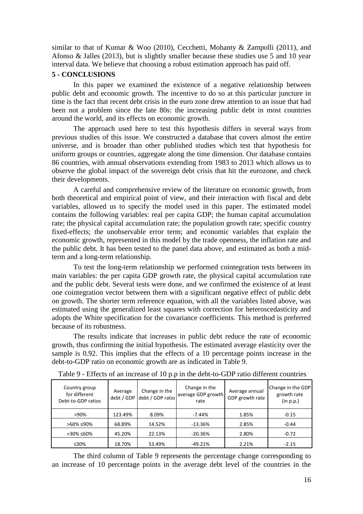similar to that of Kumar & Woo (2010), Cecchetti, Mohanty & Zampolli (2011), and Afonso & Jalles (2013), but is slightly smaller because these studies use 5 and 10 year interval data. We believe that choosing a robust estimation approach has paid off.

# **5 - CONCLUSIONS**

In this paper we examined the existence of a negative relationship between public debt and economic growth. The incentive to do so at this particular juncture in time is the fact that recent debt crisis in the euro zone drew attention to an issue that had been not a problem since the late 80s: the increasing public debt in most countries around the world, and its effects on economic growth.

The approach used here to test this hypothesis differs in several ways from previous studies of this issue. We constructed a database that covers almost the entire universe, and is broader than other published studies which test that hypothesis for uniform groups or countries, aggregate along the time dimension. Our database contains 86 countries, with annual observations extending from 1983 to 2013 which allows us to observe the global impact of the sovereign debt crisis that hit the eurozone, and check their developments.

A careful and comprehensive review of the literature on economic growth, from both theoretical and empirical point of view, and their interaction with fiscal and debt variables, allowed us to specify the model used in this paper. The estimated model contains the following variables: real per capita GDP; the human capital accumulation rate; the physical capital accumulation rate; the population growth rate; specific country fixed-effects; the unobservable error term; and economic variables that explain the economic growth, represented in this model by the trade openness, the inflation rate and the public debt. It has been tested to the panel data above, and estimated as both a midterm and a long-term relationship.

To test the long-term relationship we performed cointegration tests between its main variables: the per capita GDP growth rate, the physical capital accumulation rate and the public debt. Several tests were done, and we confirmed the existence of at least one cointegration vector between them with a significant negative effect of public debt on growth. The shorter term reference equation, with all the variables listed above, was estimated using the generalized least squares with correction for heteroscedasticity and adopts the White specification for the covariance coefficients. This method is preferred because of its robustness.

The results indicate that increases in public debt reduce the rate of economic growth, thus confirming the initial hypothesis. The estimated average elasticity over the sample is 0.92. This implies that the effects of a 10 percentage points increase in the debt-to-GDP ratio on economic growth are as indicated in Table 9.

| Country group<br>for different<br>Debt-to-GDP ratios | Average<br>debt / GDP | Change in the<br>debt / GDP ratio | Change in the<br>average GDP growth<br>rate | Change in the GDP<br>Average annual<br>GDP growth rate |         |
|------------------------------------------------------|-----------------------|-----------------------------------|---------------------------------------------|--------------------------------------------------------|---------|
| >90%                                                 | 123.49%               | 8.09%                             | $-7.44%$                                    | 1.85%                                                  | $-0.15$ |
| >60% ≤90%                                            | 68.89%                | 14.52%                            | $-13.36%$                                   | 2.85%                                                  | $-0.44$ |
| >30% ≤60%                                            | 45.20%                | 22.13%                            | $-20.36%$                                   | 2.80%                                                  | $-0.72$ |
| ≤30%                                                 | 18.70%                | 53.49%                            | $-49.21%$                                   | 2.21%                                                  | $-2.15$ |

Table 9 - Effects of an increase of 10 p.p in the debt-to-GDP ratio different countries

The third column of Table 9 represents the percentage change corresponding to an increase of 10 percentage points in the average debt level of the countries in the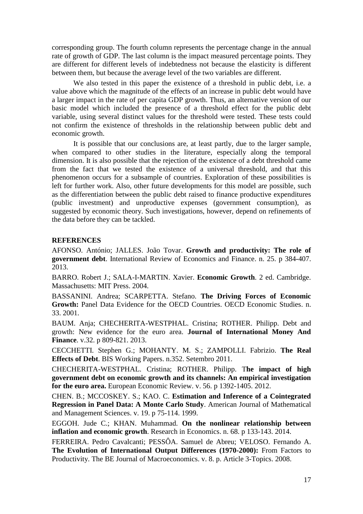corresponding group. The fourth column represents the percentage change in the annual rate of growth of GDP. The last column is the impact measured percentage points. They are different for different levels of indebtedness not because the elasticity is different between them, but because the average level of the two variables are different.

We also tested in this paper the existence of a threshold in public debt, i.e. a value above which the magnitude of the effects of an increase in public debt would have a larger impact in the rate of per capita GDP growth. Thus, an alternative version of our basic model which included the presence of a threshold effect for the public debt variable, using several distinct values for the threshold were tested. These tests could not confirm the existence of thresholds in the relationship between public debt and economic growth.

It is possible that our conclusions are, at least partly, due to the larger sample, when compared to other studies in the literature, especially along the temporal dimension. It is also possible that the rejection of the existence of a debt threshold came from the fact that we tested the existence of a universal threshold, and that this phenomenon occurs for a subsample of countries. Exploration of these possibilities is left for further work. Also, other future developments for this model are possible, such as the differentiation between the public debt raised to finance productive expenditures (public investment) and unproductive expenses (government consumption), as suggested by economic theory. Such investigations, however, depend on refinements of the data before they can be tackled.

# **REFERENCES**

AFONSO. António; JALLES. João Tovar. **Growth and productivity: The role of government debt**. International Review of Economics and Finance. n. 25. p 384-407. 2013.

BARRO. Robert J.; SALA-I-MARTIN. Xavier. **Economic Growth**. 2 ed. Cambridge. Massachusetts: MIT Press. 2004.

BASSANINI. Andrea; SCARPETTA. Stefano. **The Driving Forces of Economic Growth:** Panel Data Evidence for the OECD Countries. OECD Economic Studies. n. 33. 2001.

BAUM. Anja; CHECHERITA-WESTPHAL. Cristina; ROTHER. Philipp. Debt and growth: New evidence for the euro area. **Journal of International Money And Finance**. v.32. p 809-821. 2013.

CECCHETTI. Stephen G.; MOHANTY. M. S.; ZAMPOLLI. Fabrizio. **The Real Effects of Debt**. BIS Working Papers. n.352. Setembro 2011.

CHECHERITA-WESTPHAL. Cristina; ROTHER. Philipp. T**he impact of high government debt on economic growth and its channels: An empirical investigation for the euro area.** European Economic Review. v. 56. p 1392-1405. 2012.

CHEN. B.; MCCOSKEY. S.; KAO. C. **Estimation and Inference of a Cointegrated Regression in Panel Data: A Monte Carlo Study**. American Journal of Mathematical and Management Sciences. v. 19. p 75-114. 1999.

EGGOH. Jude C.; KHAN. Muhammad. **On the nonlinear relationship between inflation and economic growth**. Research in Economics. n. 68. p 133-143. 2014.

FERREIRA. Pedro Cavalcanti; PESSÔA. Samuel de Abreu; VELOSO. Fernando A. **The Evolution of International Output Differences (1970-2000):** From Factors to Productivity. The BE Journal of Macroeconomics. v. 8. p. Article 3-Topics. 2008.